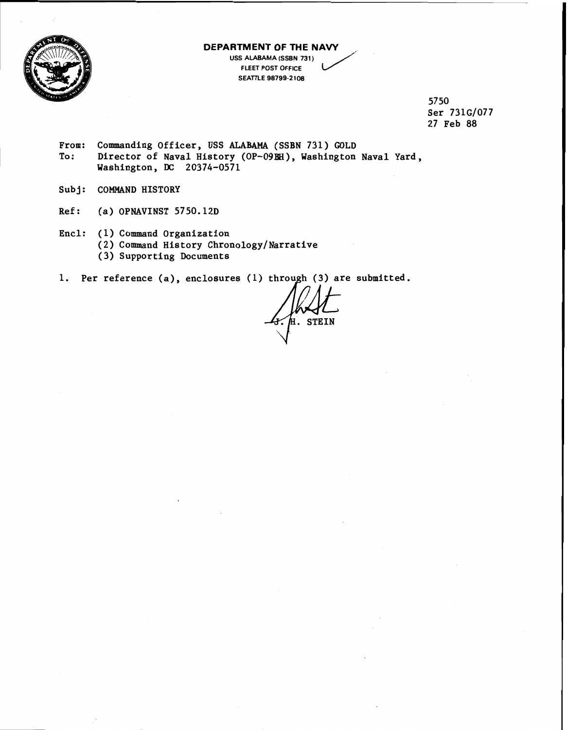

## **DEPARTMENT OF THE NAVY** , **USS ALABAMA (SSBN 731** ) **FLEET POST OFFICE SEATTLE 98799-2108**

**57 50 Ser 7316/077 27 Feb 88** 

- **From: Commanding Officer, USS ALABAMA (SSBN 731) GOLD**  To: Director of Naval History (OP-09EH), Washington Naval Yard, **Washington, DC 20374-0571**
- **Subj: COMMAND HISTORY**
- **Ref: (a) OPNAVINST 5750.12D**
- **Encl: (1) Command Organization** 
	- **(2) Command History Chronology/Narrative**
	- **(3) Supporting Documents**
- 1. Per reference (a), enclosures (1) through (3) are submitted.

**E. STEIN**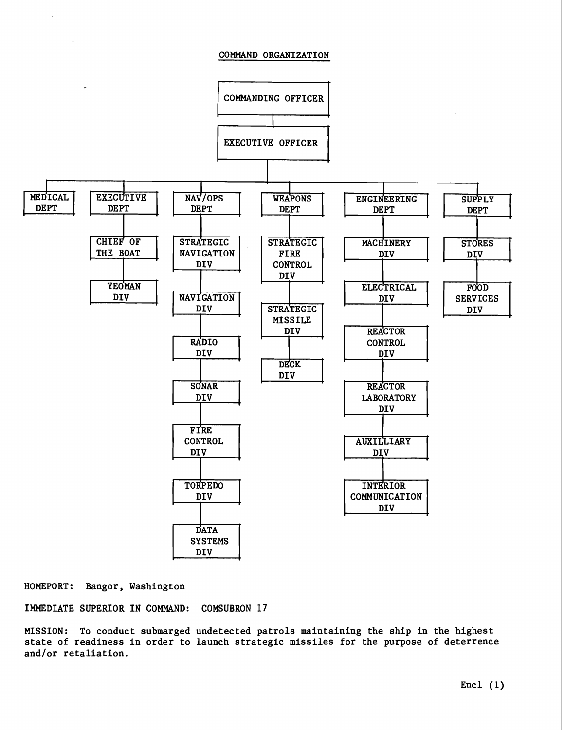## COMMAND ORGANIZATION



**HOMEPORT:** Bangor, Washington

IMMEDIATE SUPERIOR IN COMMAND: **COMSUBRON 17** 

MISSION: To conduct submarged undetected patrols maintaining the ship in the highest state of readiness in order to launch strategic missiles for the purpose of deterrence and/or retaliation.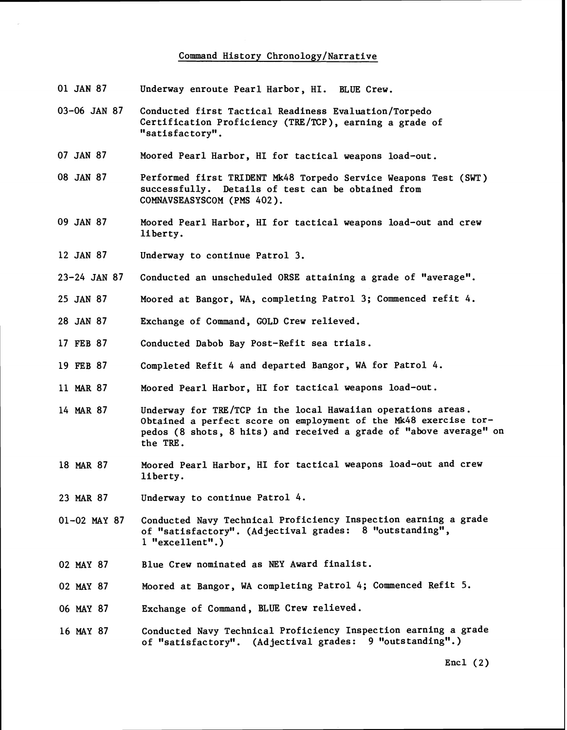## Command History Chronology/Narrative

- 01 JAN 87 Underway enroute Pearl Harbor, HI. BLUE Crew.
- 03-06 JAN 87 Conducted first Tactical Readiness Evaluation/Torpedo Certification Proficiency (TRE/TCP), earning a grade of "satisfactory" .
- 07 JAN 87 Moored Pearl Harbor, HI for tactical weapons load-out.
- 08 JAN 87 Performed first TRIDENT Mk48 Torpedo Service Weapons Test (SWT) successfully. Details of test can be obtained from COMNAVSEASYSCOM (PMS 402).
- 09 JAN 87 Moored Pearl Harbor, HI for tactical weapons load-out and crew liberty.
- 12 JAN 87 Underway to continue Patrol 3.
- 23-24 JAN 87 Conducted an unscheduled ORSE attaining a grade of "average".
- 25 JAN 87 Moored at Bangor, WA, completing Patrol 3; Commenced refit 4.
- 28 JAN 87 Exchange of Command, GOLD Crew relieved.
- 17 FEB 87 Conducted Dabob Bay Post-Refit sea trials.
- 19 FEB 87 Completed Refit 4 and departed Bangor, WA for Patrol 4.
- **11** MAR 87 Moored Pearl Harbor, HI for tactical weapons load-out.
- 14 MAR 87 Underway for TRE/TCP in the local Hawaiian operations areas. Obtained a perfect score on employment of the Mk48 exercise torpedos (8 shots, 8 hits) and received a grade of "above average" on the TRE.
- 18 **MAR** 87 Moored Pearl Harbor, HI for tactical weapons load-out and crew liberty.
- 23 MAR 87 Underway to continue Patrol 4.
- 01-02 MAY 87 Conducted Navy Technical Proficiency Inspection earning a grade of "satisfactory". (Adjectival grades: 8 "outstanding", 1 "excellent".)
- 02 MAY 87 Blue Crew nominated as **NEY** Award finalist.
- 02 MAY 87 Moored at Bangor, WA completing Patrol 4; Commenced Refit 5.
- 06 MAY **87**  Exchange of Command, **BLUE** Crew relieved.
- 16 MAY 87 Conducted Navy Technical Proficiency Inspection earning a grade of "satisfactory". (Adjectival grades: 9 "outstanding".)

Encl  $(2)$